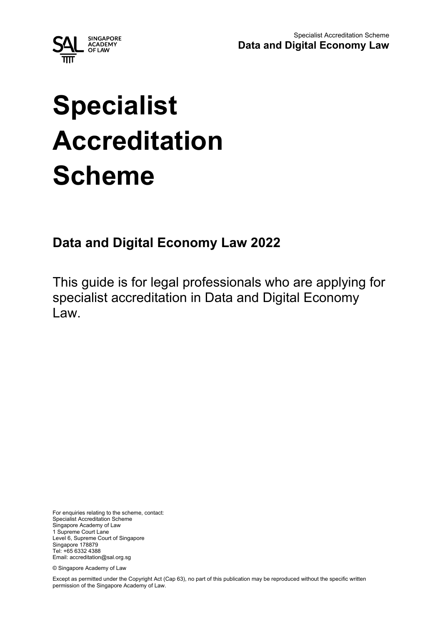

# **Specialist Accreditation Scheme**

# **Data and Digital Economy Law 2022**

This guide is for legal professionals who are applying for specialist accreditation in Data and Digital Economy Law.

For enquiries relating to the scheme, contact: Specialist Accreditation Scheme Singapore Academy of Law 1 Supreme Court Lane Level 6, Supreme Court of Singapore Singapore 178879 Tel: +65 6332 4388 Email: accreditation@sal.org.sg

© Singapore Academy of Law

Except as permitted under the Copyright Act (Cap 63), no part of this publication may be reproduced without the specific written permission of the Singapore Academy of Law.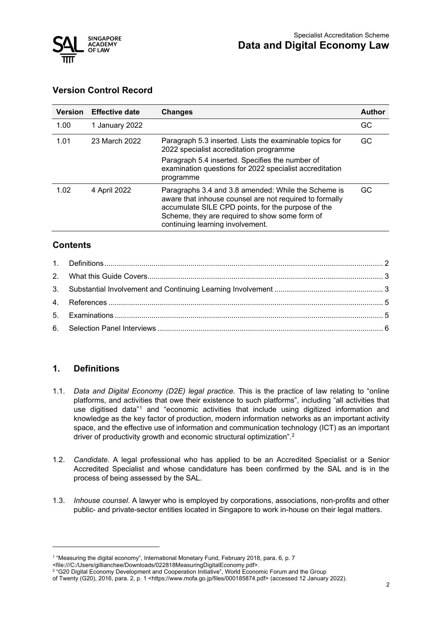

# **Version Control Record**

| <b>Version</b> | <b>Effective date</b> | <b>Changes</b>                                                                                                                                                                                                                                             | <b>Author</b> |
|----------------|-----------------------|------------------------------------------------------------------------------------------------------------------------------------------------------------------------------------------------------------------------------------------------------------|---------------|
| 1.00           | 1 January 2022        |                                                                                                                                                                                                                                                            | GC            |
| 1.01           | 23 March 2022         | Paragraph 5.3 inserted. Lists the examinable topics for<br>2022 specialist accreditation programme<br>Paragraph 5.4 inserted. Specifies the number of<br>examination questions for 2022 specialist accreditation<br>programme                              | GC.           |
| 1.02           | 4 April 2022          | Paragraphs 3.4 and 3.8 amended: While the Scheme is<br>aware that inhouse counsel are not required to formally<br>accumulate SILE CPD points, for the purpose of the<br>Scheme, they are required to show some form of<br>continuing learning involvement. | GC            |

# **Contents**

# <span id="page-1-0"></span>**1. Definitions**

- 1.1. *Data and Digital Economy (D2E) legal practice.* This is the practice of law relating to "online platforms, and activities that owe their existence to such platforms", including "all activities that use digitised data"[1](#page-1-1) and "economic activities that include using digitized information and knowledge as the key factor of production, modern information networks as an important activity space, and the effective use of information and communication technology (ICT) as an important driver of productivity growth and economic structural optimization".[2](#page-1-2)
- 1.2. *Candidate.* A legal professional who has applied to be an Accredited Specialist or a Senior Accredited Specialist and whose candidature has been confirmed by the SAL and is in the process of being assessed by the SAL.
- 1.3. *Inhouse counsel*. A lawyer who is employed by corporations, associations, non-profits and other public- and private-sector entities located in Singapore to work in-house on their legal matters.

<span id="page-1-1"></span><sup>1</sup> "Measuring the digital economy", International Monetary Fund, February 2018, para. 6, p. 7

<sup>&</sup>lt;file:///C:/Users/gillianchee/Downloads/022818MeasuringDigitalEconomy.pdf>.<br><sup>2</sup> "G20 Digital Economy Development and Cooperation Initiative", World Economic Forum and the Group

<span id="page-1-2"></span>of Twenty (G20), 2016, para. 2, p. 1 <https://www.mofa.go.jp/files/000185874.pdf> (accessed 12 January 2022).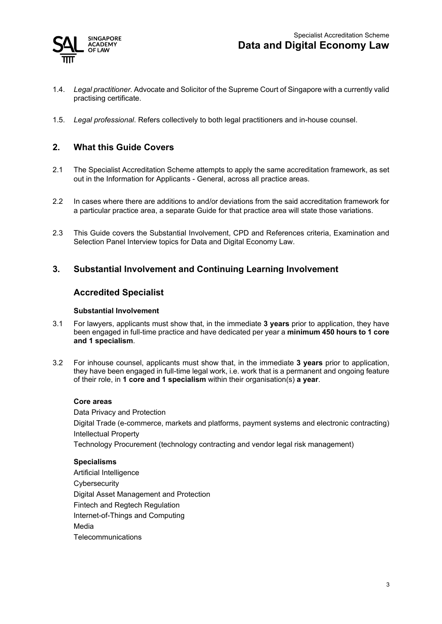

- 1.4. *Legal practitioner.* Advocate and Solicitor of the Supreme Court of Singapore with a currently valid practising certificate.
- 1.5. *Legal professional*. Refers collectively to both legal practitioners and in-house counsel.

# <span id="page-2-0"></span>**2. What this Guide Covers**

- 2.1 The Specialist Accreditation Scheme attempts to apply the same accreditation framework, as set out in the Information for Applicants - General, across all practice areas.
- 2.2 In cases where there are additions to and/or deviations from the said accreditation framework for a particular practice area, a separate Guide for that practice area will state those variations.
- 2.3 This Guide covers the Substantial Involvement, CPD and References criteria, Examination and Selection Panel Interview topics for Data and Digital Economy Law.

# <span id="page-2-1"></span>**3. Substantial Involvement and Continuing Learning Involvement**

#### **Accredited Specialist**

#### **Substantial Involvement**

- 3.1 For lawyers, applicants must show that, in the immediate **3 years** prior to application, they have been engaged in full-time practice and have dedicated per year a **minimum 450 hours to 1 core and 1 specialism**.
- 3.2 For inhouse counsel, applicants must show that, in the immediate **3 years** prior to application, they have been engaged in full-time legal work, i.e. work that is a permanent and ongoing feature of their role, in **1 core and 1 specialism** within their organisation(s) **a year**.

#### **Core areas**

Data Privacy and Protection Digital Trade (e-commerce, markets and platforms, payment systems and electronic contracting) Intellectual Property Technology Procurement (technology contracting and vendor legal risk management)

#### **Specialisms**

Artificial Intelligence **Cybersecurity** Digital Asset Management and Protection Fintech and Regtech Regulation Internet-of-Things and Computing Media **Telecommunications**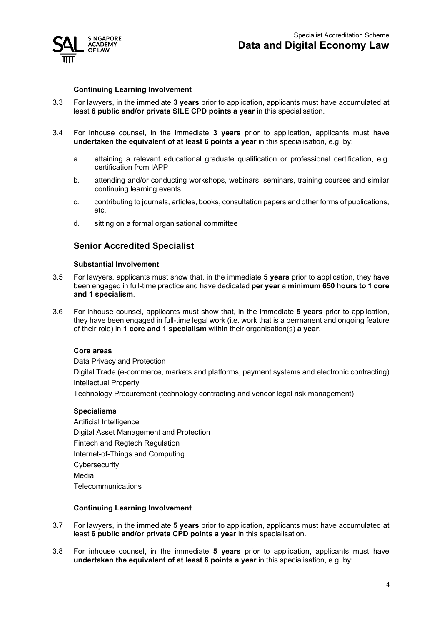

#### **Continuing Learning Involvement**

- 3.3 For lawyers, in the immediate **3 years** prior to application, applicants must have accumulated at least **6 public and/or private SILE CPD points a year** in this specialisation.
- 3.4 For inhouse counsel, in the immediate **3 years** prior to application, applicants must have **undertaken the equivalent of at least 6 points a year** in this specialisation, e.g. by:
	- a. attaining a relevant educational graduate qualification or professional certification, e.g. certification from IAPP
	- b. attending and/or conducting workshops, webinars, seminars, training courses and similar continuing learning events
	- c. contributing to journals, articles, books, consultation papers and other forms of publications, etc.
	- d. sitting on a formal organisational committee

# **Senior Accredited Specialist**

#### **Substantial Involvement**

- 3.5 For lawyers, applicants must show that, in the immediate **5 years** prior to application, they have been engaged in full-time practice and have dedicated **per year** a **minimum 650 hours to 1 core and 1 specialism**.
- 3.6 For inhouse counsel, applicants must show that, in the immediate **5 years** prior to application, they have been engaged in full-time legal work (i.e. work that is a permanent and ongoing feature of their role) in **1 core and 1 specialism** within their organisation(s) **a year**.

#### **Core areas**

Data Privacy and Protection Digital Trade (e-commerce, markets and platforms, payment systems and electronic contracting) Intellectual Property Technology Procurement (technology contracting and vendor legal risk management)

#### **Specialisms**

Artificial Intelligence Digital Asset Management and Protection Fintech and Regtech Regulation Internet-of-Things and Computing **Cybersecurity** Media **Telecommunications** 

#### **Continuing Learning Involvement**

- 3.7 For lawyers, in the immediate **5 years** prior to application, applicants must have accumulated at least **6 public and/or private CPD points a year** in this specialisation.
- 3.8 For inhouse counsel, in the immediate **5 years** prior to application, applicants must have **undertaken the equivalent of at least 6 points a year** in this specialisation, e.g. by: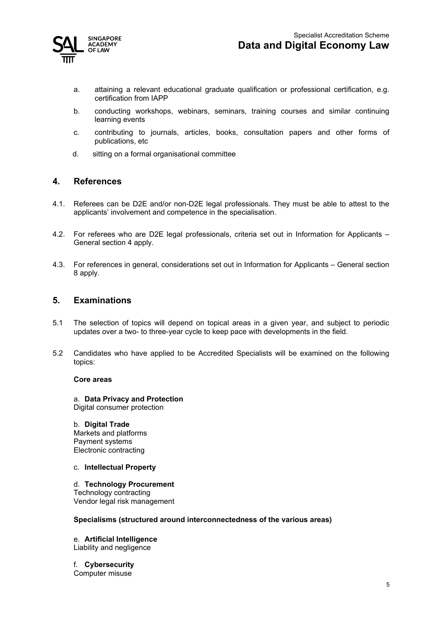

- a. attaining a relevant educational graduate qualification or professional certification, e.g. certification from IAPP
- b. conducting workshops, webinars, seminars, training courses and similar continuing learning events
- c. contributing to journals, articles, books, consultation papers and other forms of publications, etc
- d. sitting on a formal organisational committee

# <span id="page-4-0"></span>**4. References**

- 4.1. Referees can be D2E and/or non-D2E legal professionals. They must be able to attest to the applicants' involvement and competence in the specialisation.
- 4.2. For referees who are D2E legal professionals, criteria set out in Information for Applicants General section 4 apply.
- 4.3. For references in general, considerations set out in Information for Applicants General section 8 apply.

# <span id="page-4-1"></span>**5. Examinations**

- 5.1 The selection of topics will depend on topical areas in a given year, and subject to periodic updates over a two- to three-year cycle to keep pace with developments in the field.
- 5.2 Candidates who have applied to be Accredited Specialists will be examined on the following topics:

#### **Core areas**

a. **Data Privacy and Protection** Digital consumer protection

#### b. **Digital Trade**

Markets and platforms Payment systems Electronic contracting

c. **Intellectual Property**

#### d. **Technology Procurement**

Technology contracting Vendor legal risk management

#### **Specialisms (structured around interconnectedness of the various areas)**

e. **Artificial Intelligence** Liability and negligence

f. **Cybersecurity** Computer misuse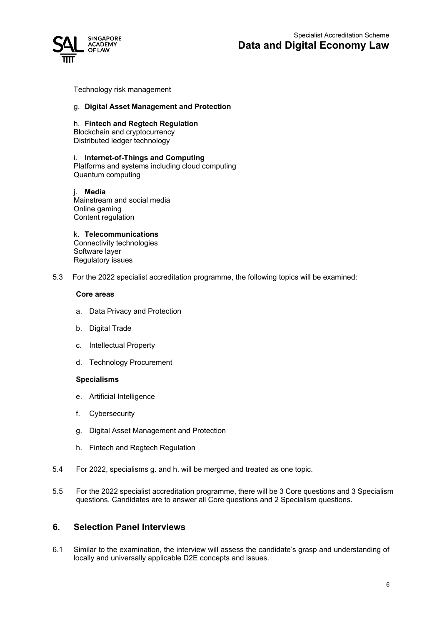

Technology risk management

#### g. **Digital Asset Management and Protection**

#### h. **Fintech and Regtech Regulation**

Blockchain and cryptocurrency Distributed ledger technology

#### i. **Internet-of-Things and Computing**

Platforms and systems including cloud computing Quantum computing

j. **Media** Mainstream and social media Online gaming Content regulation

k. **Telecommunications**

Connectivity technologies Software layer Regulatory issues

5.3 For the 2022 specialist accreditation programme, the following topics will be examined:

#### **Core areas**

- a. Data Privacy and Protection
- b. Digital Trade
- c. Intellectual Property
- d. Technology Procurement

#### **Specialisms**

- e. Artificial Intelligence
- f. Cybersecurity
- g. Digital Asset Management and Protection
- h. Fintech and Regtech Regulation
- 5.4 For 2022, specialisms g. and h. will be merged and treated as one topic.
- 5.5 For the 2022 specialist accreditation programme, there will be 3 Core questions and 3 Specialism questions. Candidates are to answer all Core questions and 2 Specialism questions.

# <span id="page-5-0"></span>**6. Selection Panel Interviews**

6.1 Similar to the examination, the interview will assess the candidate's grasp and understanding of locally and universally applicable D2E concepts and issues.